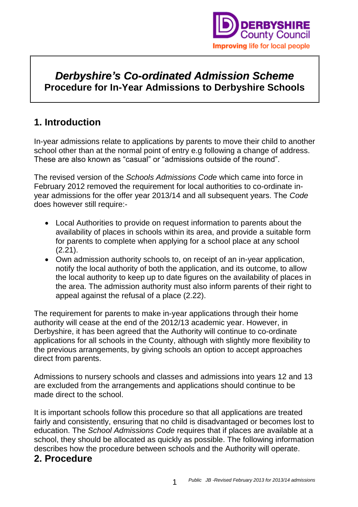

## *Derbyshire's Co-ordinated Admission Scheme* **Procedure for In-Year Admissions to Derbyshire Schools**

### **1. Introduction**

In-year admissions relate to applications by parents to move their child to another school other than at the normal point of entry e.g following a change of address. These are also known as "casual" or "admissions outside of the round".

The revised version of the *Schools Admissions Code* which came into force in February 2012 removed the requirement for local authorities to co-ordinate inyear admissions for the offer year 2013/14 and all subsequent years. The *Code* does however still require:-

- Local Authorities to provide on request information to parents about the availability of places in schools within its area, and provide a suitable form for parents to complete when applying for a school place at any school (2.21).
- Own admission authority schools to, on receipt of an in-year application, notify the local authority of both the application, and its outcome, to allow the local authority to keep up to date figures on the availability of places in the area. The admission authority must also inform parents of their right to appeal against the refusal of a place (2.22).

The requirement for parents to make in-year applications through their home authority will cease at the end of the 2012/13 academic year. However, in Derbyshire, it has been agreed that the Authority will continue to co-ordinate applications for all schools in the County, although with slightly more flexibility to the previous arrangements, by giving schools an option to accept approaches direct from parents.

Admissions to nursery schools and classes and admissions into years 12 and 13 are excluded from the arrangements and applications should continue to be made direct to the school.

It is important schools follow this procedure so that all applications are treated fairly and consistently, ensuring that no child is disadvantaged or becomes lost to education. The *School Admissions Code* requires that if places are available at a school, they should be allocated as quickly as possible. The following information describes how the procedure between schools and the Authority will operate.

### **2. Procedure**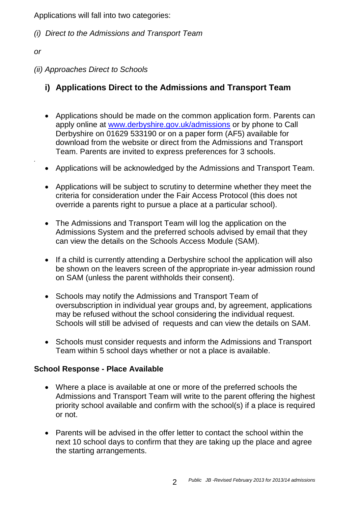Applications will fall into two categories:

- *(i) Direct to the Admissions and Transport Team*
- *or*

*.*

*(ii) Approaches Direct to Schools*

### **i) Applications Direct to the Admissions and Transport Team**

- Applications should be made on the common application form. Parents can apply online at [www.derbyshire.gov.uk/admissions](http://www.derbyshire.gov.uk/admissions) or by phone to Call Derbyshire on 01629 533190 or on a paper form (AF5) available for download from the website or direct from the Admissions and Transport Team. Parents are invited to express preferences for 3 schools.
- Applications will be acknowledged by the Admissions and Transport Team.
- Applications will be subject to scrutiny to determine whether they meet the criteria for consideration under the Fair Access Protocol (this does not override a parents right to pursue a place at a particular school).
- The Admissions and Transport Team will log the application on the Admissions System and the preferred schools advised by email that they can view the details on the Schools Access Module (SAM).
- If a child is currently attending a Derbyshire school the application will also be shown on the leavers screen of the appropriate in-year admission round on SAM (unless the parent withholds their consent).
- Schools may notify the Admissions and Transport Team of oversubscription in individual year groups and, by agreement, applications may be refused without the school considering the individual request. Schools will still be advised of requests and can view the details on SAM.
- Schools must consider requests and inform the Admissions and Transport Team within 5 school days whether or not a place is available.

#### **School Response - Place Available**

- Where a place is available at one or more of the preferred schools the Admissions and Transport Team will write to the parent offering the highest priority school available and confirm with the school(s) if a place is required or not.
- Parents will be advised in the offer letter to contact the school within the next 10 school days to confirm that they are taking up the place and agree the starting arrangements.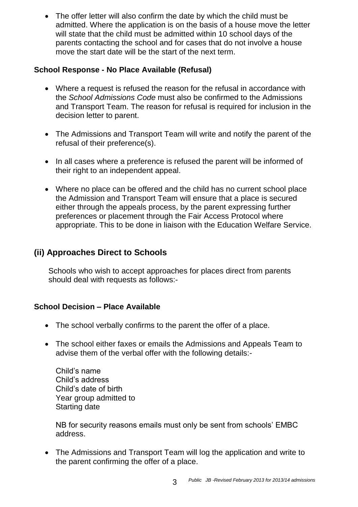• The offer letter will also confirm the date by which the child must be admitted. Where the application is on the basis of a house move the letter will state that the child must be admitted within 10 school days of the parents contacting the school and for cases that do not involve a house move the start date will be the start of the next term.

#### **School Response - No Place Available (Refusal)**

- Where a request is refused the reason for the refusal in accordance with the *School Admissions Code* must also be confirmed to the Admissions and Transport Team. The reason for refusal is required for inclusion in the decision letter to parent.
- The Admissions and Transport Team will write and notify the parent of the refusal of their preference(s).
- In all cases where a preference is refused the parent will be informed of their right to an independent appeal.
- Where no place can be offered and the child has no current school place the Admission and Transport Team will ensure that a place is secured either through the appeals process, by the parent expressing further preferences or placement through the Fair Access Protocol where appropriate. This to be done in liaison with the Education Welfare Service.

### **(ii) Approaches Direct to Schools**

Schools who wish to accept approaches for places direct from parents should deal with requests as follows:-

#### **School Decision – Place Available**

- The school verbally confirms to the parent the offer of a place.
- The school either faxes or emails the Admissions and Appeals Team to advise them of the verbal offer with the following details:-

Child's name Child's address Child's date of birth Year group admitted to Starting date

NB for security reasons emails must only be sent from schools' EMBC address.

• The Admissions and Transport Team will log the application and write to the parent confirming the offer of a place.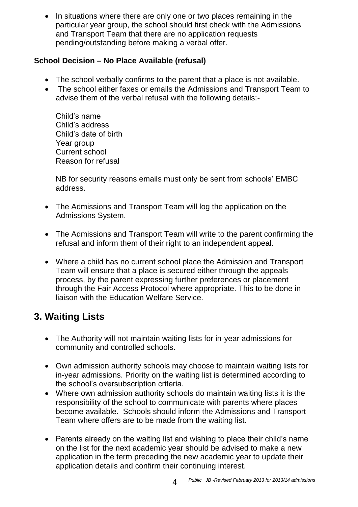• In situations where there are only one or two places remaining in the particular year group, the school should first check with the Admissions and Transport Team that there are no application requests pending/outstanding before making a verbal offer.

#### **School Decision – No Place Available (refusal)**

- The school verbally confirms to the parent that a place is not available.
- The school either faxes or emails the Admissions and Transport Team to advise them of the verbal refusal with the following details:-

Child's name Child's address Child's date of birth Year group Current school Reason for refusal

NB for security reasons emails must only be sent from schools' EMBC address.

- The Admissions and Transport Team will log the application on the Admissions System.
- The Admissions and Transport Team will write to the parent confirming the refusal and inform them of their right to an independent appeal.
- Where a child has no current school place the Admission and Transport Team will ensure that a place is secured either through the appeals process, by the parent expressing further preferences or placement through the Fair Access Protocol where appropriate. This to be done in liaison with the Education Welfare Service.

# **3. Waiting Lists**

- The Authority will not maintain waiting lists for in-year admissions for community and controlled schools.
- Own admission authority schools may choose to maintain waiting lists for in-year admissions. Priority on the waiting list is determined according to the school's oversubscription criteria.
- Where own admission authority schools do maintain waiting lists it is the responsibility of the school to communicate with parents where places become available. Schools should inform the Admissions and Transport Team where offers are to be made from the waiting list.
- Parents already on the waiting list and wishing to place their child's name on the list for the next academic year should be advised to make a new application in the term preceding the new academic year to update their application details and confirm their continuing interest.